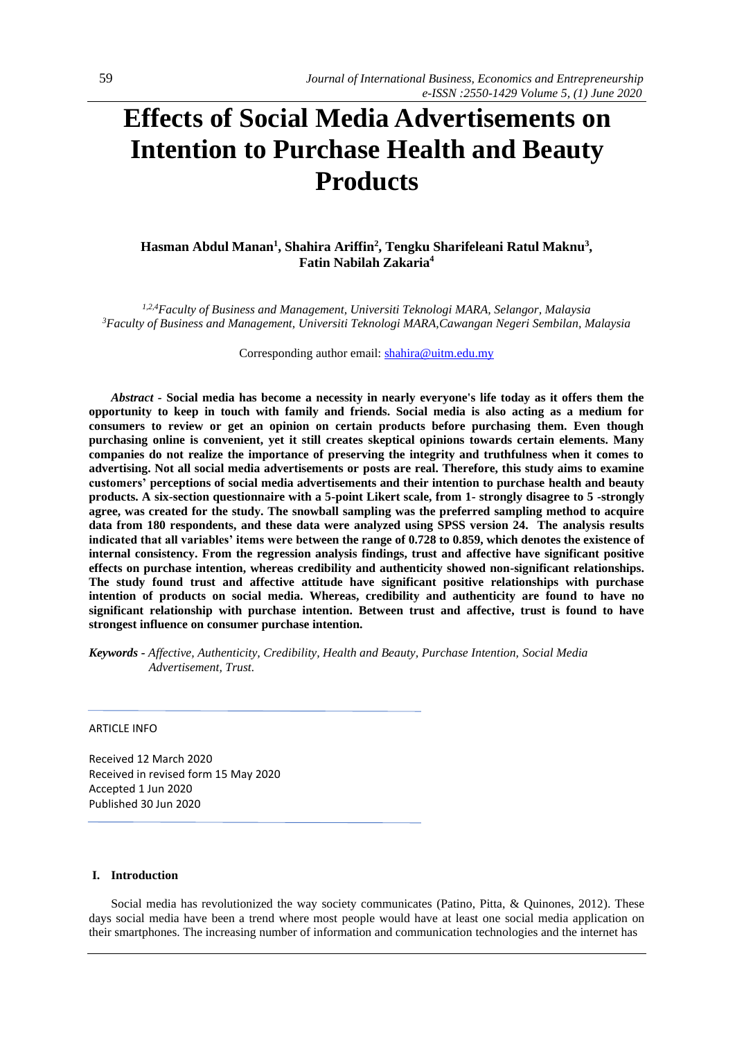# **Effects of Social Media Advertisements on Intention to Purchase Health and Beauty Products**

# **Hasman Abdul Manan<sup>1</sup> , Shahira Ariffin<sup>2</sup> , Tengku Sharifeleani Ratul Maknu<sup>3</sup> , Fatin Nabilah Zakaria<sup>4</sup>**

*1,2,4Faculty of Business and Management, Universiti Teknologi MARA, Selangor, Malaysia <sup>3</sup>Faculty of Business and Management, Universiti Teknologi MARA,Cawangan Negeri Sembilan, Malaysia*

Corresponding author email: [shahira@uitm.edu.my](mailto:shahira@uitm.edu.my)

*Abstract -* **Social media has become a necessity in nearly everyone's life today as it offers them the opportunity to keep in touch with family and friends. Social media is also acting as a medium for consumers to review or get an opinion on certain products before purchasing them. Even though purchasing online is convenient, yet it still creates skeptical opinions towards certain elements. Many companies do not realize the importance of preserving the integrity and truthfulness when it comes to advertising. Not all social media advertisements or posts are real. Therefore, this study aims to examine customers' perceptions of social media advertisements and their intention to purchase health and beauty products. A six-section questionnaire with a 5-point Likert scale, from 1- strongly disagree to 5 -strongly agree, was created for the study. The snowball sampling was the preferred sampling method to acquire data from 180 respondents, and these data were analyzed using SPSS version 24. The analysis results indicated that all variables' items were between the range of 0.728 to 0.859, which denotes the existence of internal consistency. From the regression analysis findings, trust and affective have significant positive effects on purchase intention, whereas credibility and authenticity showed non-significant relationships. The study found trust and affective attitude have significant positive relationships with purchase intention of products on social media. Whereas, credibility and authenticity are found to have no significant relationship with purchase intention. Between trust and affective, trust is found to have strongest influence on consumer purchase intention.** 

*Keywords - Affective, Authenticity, Credibility, Health and Beauty, Purchase Intention, Social Media Advertisement, Trust.*

ARTICLE INFO

Received 12 March 2020 Received in revised form 15 May 2020 Accepted 1 Jun 2020 Published 30 Jun 2020

## **I. Introduction**

Social media has revolutionized the way society communicates (Patino, Pitta, & Quinones, 2012). These days social media have been a trend where most people would have at least one social media application on their smartphones. The increasing number of information and communication technologies and the internet has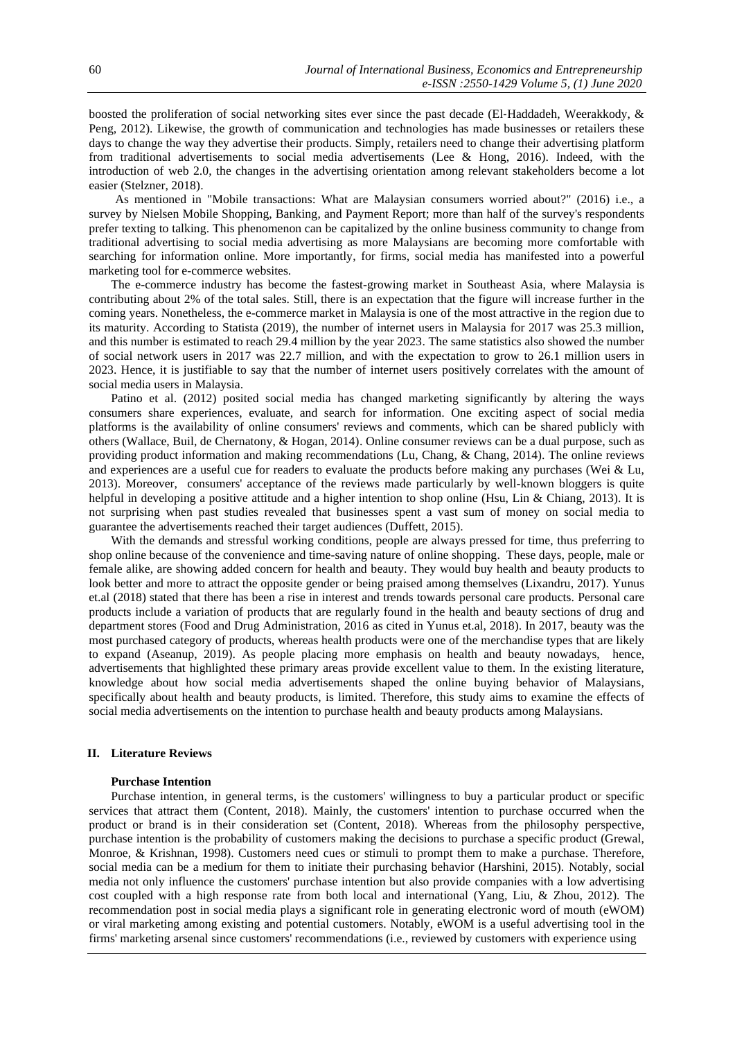boosted the proliferation of social networking sites ever since the past decade (El-Haddadeh, Weerakkody, & Peng, 2012). Likewise, the growth of communication and technologies has made businesses or retailers these days to change the way they advertise their products. Simply, retailers need to change their advertising platform from traditional advertisements to social media advertisements (Lee & Hong, 2016). Indeed, with the introduction of web 2.0, the changes in the advertising orientation among relevant stakeholders become a lot easier (Stelzner, 2018).

As mentioned in "Mobile transactions: What are Malaysian consumers worried about?" (2016) i.e., a survey by Nielsen Mobile Shopping, Banking, and Payment Report; more than half of the survey's respondents prefer texting to talking. This phenomenon can be capitalized by the online business community to change from traditional advertising to social media advertising as more Malaysians are becoming more comfortable with searching for information online. More importantly, for firms, social media has manifested into a powerful marketing tool for e-commerce websites.

The e-commerce industry has become the fastest-growing market in Southeast Asia, where Malaysia is contributing about 2% of the total sales. Still, there is an expectation that the figure will increase further in the coming years. Nonetheless, the e-commerce market in Malaysia is one of the most attractive in the region due to its maturity. According to Statista (2019), the number of internet users in Malaysia for 2017 was 25.3 million, and this number is estimated to reach 29.4 million by the year 2023. The same statistics also showed the number of social network users in 2017 was 22.7 million, and with the expectation to grow to 26.1 million users in 2023. Hence, it is justifiable to say that the number of internet users positively correlates with the amount of social media users in Malaysia.

Patino et al. (2012) posited social media has changed marketing significantly by altering the ways consumers share experiences, evaluate, and search for information. One exciting aspect of social media platforms is the availability of online consumers' reviews and comments, which can be shared publicly with others (Wallace, Buil, de Chernatony, & Hogan, 2014). Online consumer reviews can be a dual purpose, such as providing product information and making recommendations (Lu, Chang, & Chang, 2014). The online reviews and experiences are a useful cue for readers to evaluate the products before making any purchases (Wei & Lu, 2013). Moreover, consumers' acceptance of the reviews made particularly by well-known bloggers is quite helpful in developing a positive attitude and a higher intention to shop online (Hsu, Lin & Chiang, 2013). It is not surprising when past studies revealed that businesses spent a vast sum of money on social media to guarantee the advertisements reached their target audiences (Duffett, 2015).

With the demands and stressful working conditions, people are always pressed for time, thus preferring to shop online because of the convenience and time-saving nature of online shopping. These days, people, male or female alike, are showing added concern for health and beauty. They would buy health and beauty products to look better and more to attract the opposite gender or being praised among themselves (Lixandru, 2017). Yunus et.al (2018) stated that there has been a rise in interest and trends towards personal care products. Personal care products include a variation of products that are regularly found in the health and beauty sections of drug and department stores (Food and Drug Administration, 2016 as cited in Yunus et.al, 2018). In 2017, beauty was the most purchased category of products, whereas health products were one of the merchandise types that are likely to expand (Aseanup, 2019). As people placing more emphasis on health and beauty nowadays, hence, advertisements that highlighted these primary areas provide excellent value to them. In the existing literature, knowledge about how social media advertisements shaped the online buying behavior of Malaysians, specifically about health and beauty products, is limited. Therefore, this study aims to examine the effects of social media advertisements on the intention to purchase health and beauty products among Malaysians.

## **II. Literature Reviews**

#### **Purchase Intention**

Purchase intention, in general terms, is the customers' willingness to buy a particular product or specific services that attract them (Content, 2018). Mainly, the customers' intention to purchase occurred when the product or brand is in their consideration set (Content, 2018). Whereas from the philosophy perspective, purchase intention is the probability of customers making the decisions to purchase a specific product (Grewal, Monroe, & Krishnan, 1998). Customers need cues or stimuli to prompt them to make a purchase. Therefore, social media can be a medium for them to initiate their purchasing behavior (Harshini, 2015). Notably, social media not only influence the customers' purchase intention but also provide companies with a low advertising cost coupled with a high response rate from both local and international (Yang, Liu, & Zhou, 2012). The recommendation post in social media plays a significant role in generating electronic word of mouth (eWOM) or viral marketing among existing and potential customers. Notably, eWOM is a useful advertising tool in the firms' marketing arsenal since customers' recommendations (i.e., reviewed by customers with experience using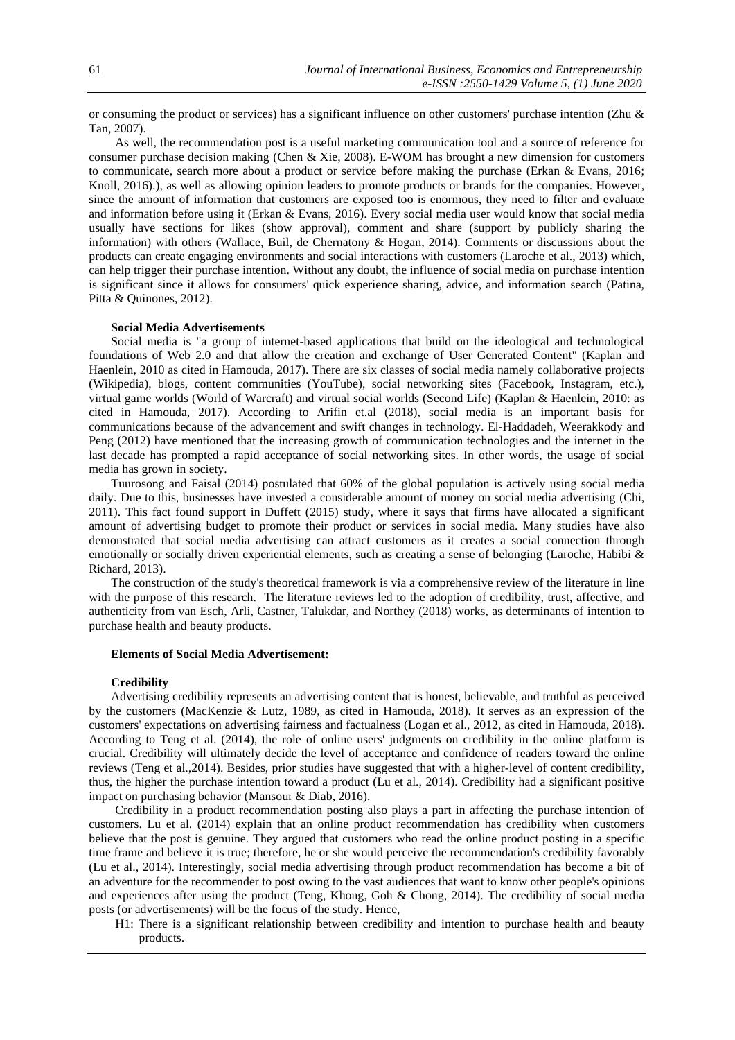or consuming the product or services) has a significant influence on other customers' purchase intention (Zhu & Tan, 2007).

As well, the recommendation post is a useful marketing communication tool and a source of reference for consumer purchase decision making (Chen & Xie, 2008). E-WOM has brought a new dimension for customers to communicate, search more about a product or service before making the purchase (Erkan & Evans, 2016; Knoll, 2016).), as well as allowing opinion leaders to promote products or brands for the companies. However, since the amount of information that customers are exposed too is enormous, they need to filter and evaluate and information before using it (Erkan & Evans, 2016). Every social media user would know that social media usually have sections for likes (show approval), comment and share (support by publicly sharing the information) with others (Wallace, Buil, de Chernatony & Hogan, 2014). Comments or discussions about the products can create engaging environments and social interactions with customers (Laroche et al., 2013) which, can help trigger their purchase intention. Without any doubt, the influence of social media on purchase intention is significant since it allows for consumers' quick experience sharing, advice, and information search (Patina, Pitta & Quinones, 2012).

### **Social Media Advertisements**

Social media is "a group of internet-based applications that build on the ideological and technological foundations of Web 2.0 and that allow the creation and exchange of User Generated Content" (Kaplan and Haenlein, 2010 as cited in Hamouda, 2017). There are six classes of social media namely collaborative projects (Wikipedia), blogs, content communities (YouTube), social networking sites (Facebook, Instagram, etc.), virtual game worlds (World of Warcraft) and virtual social worlds (Second Life) (Kaplan & Haenlein, 2010: as cited in Hamouda, 2017). According to Arifin et.al (2018), social media is an important basis for communications because of the advancement and swift changes in technology. El-Haddadeh, Weerakkody and Peng (2012) have mentioned that the increasing growth of communication technologies and the internet in the last decade has prompted a rapid acceptance of social networking sites. In other words, the usage of social media has grown in society.

Tuurosong and Faisal (2014) postulated that 60% of the global population is actively using social media daily. Due to this, businesses have invested a considerable amount of money on social media advertising (Chi, 2011). This fact found support in Duffett (2015) study, where it says that firms have allocated a significant amount of advertising budget to promote their product or services in social media. Many studies have also demonstrated that social media advertising can attract customers as it creates a social connection through emotionally or socially driven experiential elements, such as creating a sense of belonging (Laroche, Habibi & Richard, 2013).

The construction of the study's theoretical framework is via a comprehensive review of the literature in line with the purpose of this research. The literature reviews led to the adoption of credibility, trust, affective, and authenticity from van Esch, Arli, Castner, Talukdar, and Northey (2018) works, as determinants of intention to purchase health and beauty products.

#### **Elements of Social Media Advertisement:**

#### **Credibility**

Advertising credibility represents an advertising content that is honest, believable, and truthful as perceived by the customers (MacKenzie & Lutz, 1989, as cited in Hamouda, 2018). It serves as an expression of the customers' expectations on advertising fairness and factualness (Logan et al., 2012, as cited in Hamouda, 2018). According to Teng et al. (2014), the role of online users' judgments on credibility in the online platform is crucial. Credibility will ultimately decide the level of acceptance and confidence of readers toward the online reviews (Teng et al.,2014). Besides, prior studies have suggested that with a higher-level of content credibility, thus, the higher the purchase intention toward a product (Lu et al., 2014). Credibility had a significant positive impact on purchasing behavior (Mansour & Diab, 2016).

Credibility in a product recommendation posting also plays a part in affecting the purchase intention of customers. Lu et al. (2014) explain that an online product recommendation has credibility when customers believe that the post is genuine. They argued that customers who read the online product posting in a specific time frame and believe it is true; therefore, he or she would perceive the recommendation's credibility favorably (Lu et al., 2014). Interestingly, social media advertising through product recommendation has become a bit of an adventure for the recommender to post owing to the vast audiences that want to know other people's opinions and experiences after using the product (Teng, Khong, Goh & Chong, 2014). The credibility of social media posts (or advertisements) will be the focus of the study. Hence,

H1: There is a significant relationship between credibility and intention to purchase health and beauty products.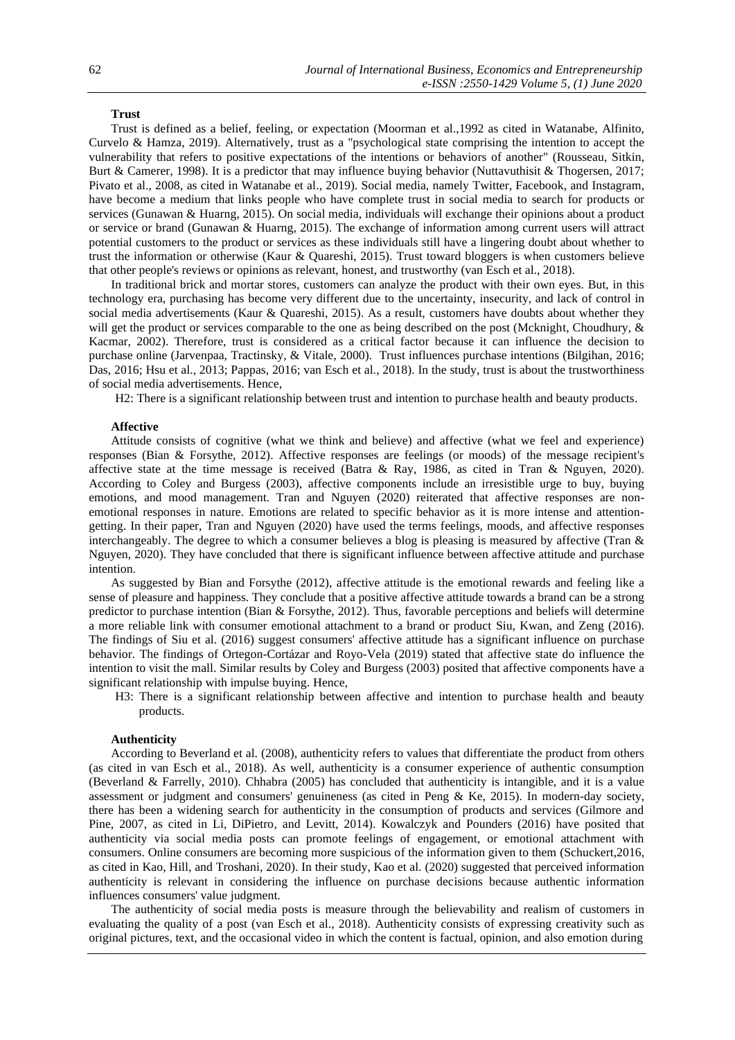## **Trust**

Trust is defined as a belief, feeling, or expectation (Moorman et al.,1992 as cited in Watanabe, Alfinito, Curvelo & Hamza, 2019). Alternatively, trust as a "psychological state comprising the intention to accept the vulnerability that refers to positive expectations of the intentions or behaviors of another" (Rousseau, Sitkin, Burt & Camerer, 1998). It is a predictor that may influence buying behavior (Nuttavuthisit & Thogersen, 2017; Pivato et al., 2008, as cited in Watanabe et al., 2019). Social media, namely Twitter, Facebook, and Instagram, have become a medium that links people who have complete trust in social media to search for products or services (Gunawan & Huarng, 2015). On social media, individuals will exchange their opinions about a product or service or brand (Gunawan & Huarng, 2015). The exchange of information among current users will attract potential customers to the product or services as these individuals still have a lingering doubt about whether to trust the information or otherwise (Kaur & Quareshi, 2015). Trust toward bloggers is when customers believe that other people's reviews or opinions as relevant, honest, and trustworthy (van Esch et al., 2018).

In traditional brick and mortar stores, customers can analyze the product with their own eyes. But, in this technology era, purchasing has become very different due to the uncertainty, insecurity, and lack of control in social media advertisements (Kaur & Quareshi, 2015). As a result, customers have doubts about whether they will get the product or services comparable to the one as being described on the post (Mcknight, Choudhury, & Kacmar, 2002). Therefore, trust is considered as a critical factor because it can influence the decision to purchase online (Jarvenpaa, Tractinsky, & Vitale, 2000). Trust influences purchase intentions (Bilgihan, 2016; Das, 2016; Hsu et al., 2013; Pappas, 2016; van Esch et al., 2018). In the study, trust is about the trustworthiness of social media advertisements. Hence,

H2: There is a significant relationship between trust and intention to purchase health and beauty products.

## **Affective**

Attitude consists of cognitive (what we think and believe) and affective (what we feel and experience) responses (Bian & Forsythe, 2012). Affective responses are feelings (or moods) of the message recipient's affective state at the time message is received (Batra & Ray, 1986, as cited in Tran & Nguyen, 2020). According to Coley and Burgess (2003), affective components include an irresistible urge to buy, buying emotions, and mood management. Tran and Nguyen (2020) reiterated that affective responses are nonemotional responses in nature. Emotions are related to specific behavior as it is more intense and attentiongetting. In their paper, Tran and Nguyen (2020) have used the terms feelings, moods, and affective responses interchangeably. The degree to which a consumer believes a blog is pleasing is measured by affective (Tran  $\&$ Nguyen, 2020). They have concluded that there is significant influence between affective attitude and purchase intention.

As suggested by Bian and Forsythe (2012), affective attitude is the emotional rewards and feeling like a sense of pleasure and happiness. They conclude that a positive affective attitude towards a brand can be a strong predictor to purchase intention (Bian & Forsythe, 2012). Thus, favorable perceptions and beliefs will determine a more reliable link with consumer emotional attachment to a brand or product Siu, Kwan, and Zeng (2016). The findings of Siu et al. (2016) suggest consumers' affective attitude has a significant influence on purchase behavior. The findings of Ortegon-Cortázar and Royo-Vela (2019) stated that affective state do influence the intention to visit the mall. Similar results by Coley and Burgess (2003) posited that affective components have a significant relationship with impulse buying. Hence,

H3: There is a significant relationship between affective and intention to purchase health and beauty products.

#### **Authenticity**

According to Beverland et al. (2008), authenticity refers to values that differentiate the product from others (as cited in van Esch et al., 2018). As well, authenticity is a consumer experience of authentic consumption (Beverland & Farrelly, 2010). Chhabra (2005) has concluded that authenticity is intangible, and it is a value assessment or judgment and consumers' genuineness (as cited in Peng & Ke, 2015). In modern-day society, there has been a widening search for authenticity in the consumption of products and services (Gilmore and Pine, 2007, as cited in Li, DiPietro, and Levitt, 2014). Kowalczyk and Pounders (2016) have posited that authenticity via social media posts can promote feelings of engagement, or emotional attachment with consumers. Online consumers are becoming more suspicious of the information given to them (Schuckert,2016, as cited in Kao, Hill, and Troshani, 2020). In their study, Kao et al. (2020) suggested that perceived information authenticity is relevant in considering the influence on purchase decisions because authentic information influences consumers' value judgment.

The authenticity of social media posts is measure through the believability and realism of customers in evaluating the quality of a post (van Esch et al., 2018). Authenticity consists of expressing creativity such as original pictures, text, and the occasional video in which the content is factual, opinion, and also emotion during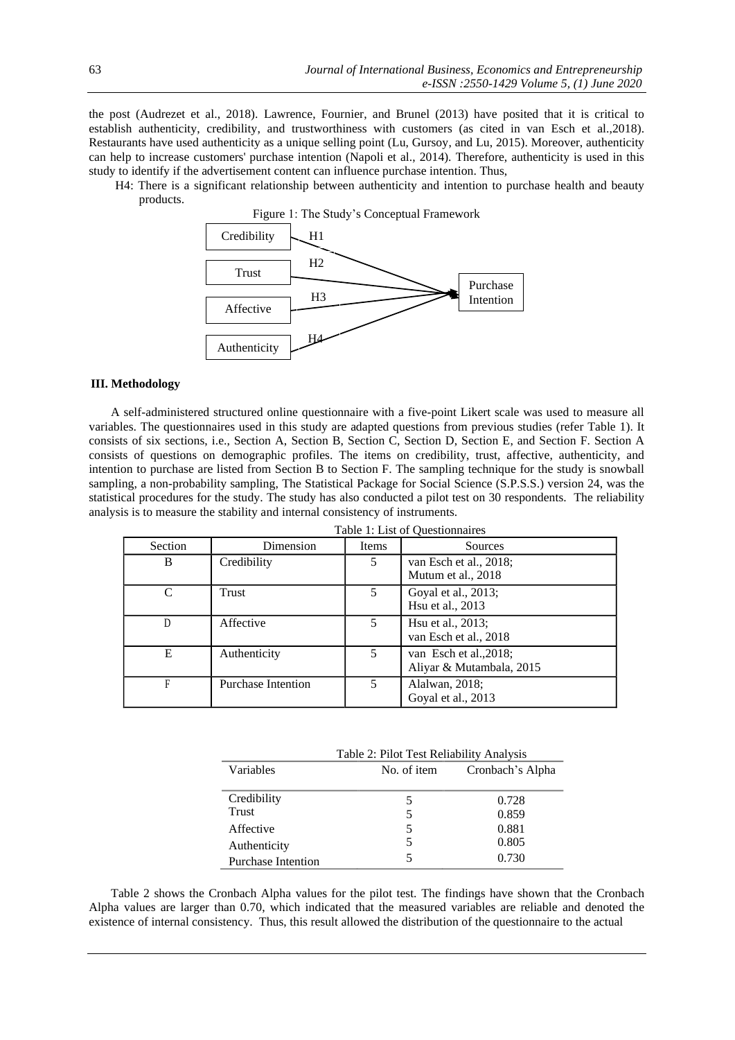the post (Audrezet et al., 2018). Lawrence, Fournier, and Brunel (2013) have posited that it is critical to establish authenticity, credibility, and trustworthiness with customers (as cited in van Esch et al.,2018). Restaurants have used authenticity as a unique selling point (Lu, Gursoy, and Lu, 2015). Moreover, authenticity can help to increase customers' purchase intention (Napoli et al., 2014). Therefore, authenticity is used in this study to identify if the advertisement content can influence purchase intention. Thus,

H4: There is a significant relationship between authenticity and intention to purchase health and beauty products.



## **III. Methodology**

A self-administered structured online questionnaire with a five-point Likert scale was used to measure all variables. The questionnaires used in this study are adapted questions from previous studies (refer Table 1). It consists of six sections, i.e., Section A, Section B, Section C, Section D, Section E, and Section F. Section A consists of questions on demographic profiles. The items on credibility, trust, affective, authenticity, and intention to purchase are listed from Section B to Section F. The sampling technique for the study is snowball sampling, a non-probability sampling, The Statistical Package for Social Science (S.P.S.S.) version 24, was the statistical procedures for the study. The study has also conducted a pilot test on 30 respondents. The reliability analysis is to measure the stability and internal consistency of instruments.

|         |                           |       | Table 1: List of Questionnaires                    |
|---------|---------------------------|-------|----------------------------------------------------|
| Section | Dimension                 | Items | Sources                                            |
| В       | Credibility               | 5     | van Esch et al., 2018;<br>Mutum et al., 2018       |
| C       | Trust                     | 5     | Goyal et al., 2013;<br>Hsu et al., 2013            |
| D       | Affective                 | 5     | Hsu et al., 2013;<br>van Esch et al., 2018         |
| E       | Authenticity              | 5     | van Esch et al., 2018;<br>Aliyar & Mutambala, 2015 |
| F       | <b>Purchase Intention</b> | 5     | Alalwan, 2018;<br>Goyal et al., 2013               |

|                           | Table 2: Pilot Test Reliability Analysis |                  |
|---------------------------|------------------------------------------|------------------|
| Variables                 | No. of item                              | Cronbach's Alpha |
|                           |                                          |                  |
| Credibility               |                                          | 0.728            |
| Trust                     | 5                                        | 0.859            |
| Affective                 |                                          | 0.881            |
| Authenticity              | 5                                        | 0.805            |
| <b>Purchase Intention</b> |                                          | 0.730            |

Table 2 shows the Cronbach Alpha values for the pilot test. The findings have shown that the Cronbach Alpha values are larger than 0.70, which indicated that the measured variables are reliable and denoted the existence of internal consistency. Thus, this result allowed the distribution of the questionnaire to the actual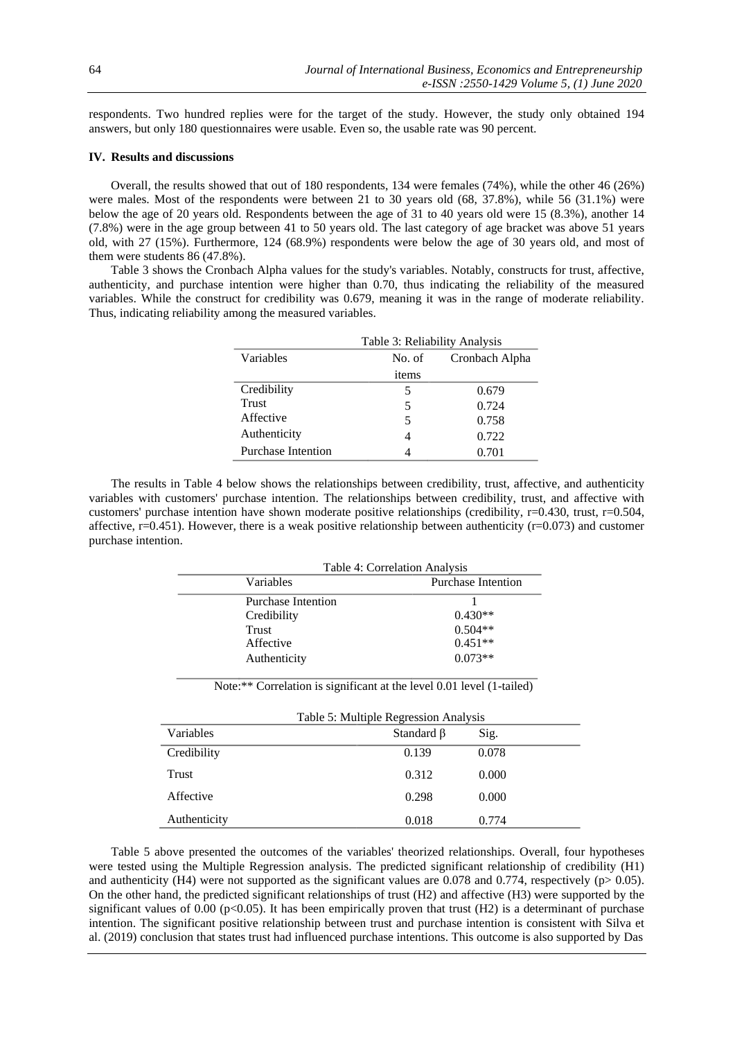respondents. Two hundred replies were for the target of the study. However, the study only obtained 194 answers, but only 180 questionnaires were usable. Even so, the usable rate was 90 percent.

## **IV. Results and discussions**

Overall, the results showed that out of 180 respondents, 134 were females (74%), while the other 46 (26%) were males. Most of the respondents were between 21 to 30 years old (68, 37.8%), while 56 (31.1%) were below the age of 20 years old. Respondents between the age of 31 to 40 years old were 15 (8.3%), another 14 (7.8%) were in the age group between 41 to 50 years old. The last category of age bracket was above 51 years old, with 27 (15%). Furthermore, 124 (68.9%) respondents were below the age of 30 years old, and most of them were students 86 (47.8%).

Table 3 shows the Cronbach Alpha values for the study's variables. Notably, constructs for trust, affective, authenticity, and purchase intention were higher than 0.70, thus indicating the reliability of the measured variables. While the construct for credibility was 0.679, meaning it was in the range of moderate reliability. Thus, indicating reliability among the measured variables.

|                    | Table 3: Reliability Analysis |                |
|--------------------|-------------------------------|----------------|
| Variables          | No. of                        | Cronbach Alpha |
|                    | items                         |                |
| Credibility        | 5                             | 0.679          |
| Trust              | 5                             | 0.724          |
| Affective          | 5                             | 0.758          |
| Authenticity       | 4                             | 0.722          |
| Purchase Intention | 4                             | 0.701          |

The results in Table 4 below shows the relationships between credibility, trust, affective, and authenticity variables with customers' purchase intention. The relationships between credibility, trust, and affective with customers' purchase intention have shown moderate positive relationships (credibility, r=0.430, trust, r=0.504, affective,  $r=0.451$ ). However, there is a weak positive relationship between authenticity ( $r=0.073$ ) and customer purchase intention.

|                           | Table 4: Correlation Analysis |
|---------------------------|-------------------------------|
| Variables                 | Purchase Intention            |
| <b>Purchase Intention</b> |                               |
| Credibility               | $0.430**$                     |
| Trust                     | $0.504**$                     |
| Affective                 | $0.451**$                     |
| Authenticity              | $0.073**$                     |

Note:\*\* Correlation is significant at the level 0.01 level (1-tailed)

| Table 5: Multiple Regression Analysis |                  |       |
|---------------------------------------|------------------|-------|
| <b>Variables</b>                      | Standard $\beta$ | Sig.  |
| Credibility                           | 0.139            | 0.078 |
| Trust                                 | 0.312            | 0.000 |
| Affective                             | 0.298            | 0.000 |
| Authenticity                          | 0.018            | 0.774 |

Table 5 above presented the outcomes of the variables' theorized relationships. Overall, four hypotheses were tested using the Multiple Regression analysis. The predicted significant relationship of credibility (H1) and authenticity (H4) were not supported as the significant values are 0.078 and 0.774, respectively ( $p> 0.05$ ). On the other hand, the predicted significant relationships of trust (H2) and affective (H3) were supported by the significant values of 0.00 ( $p<0.05$ ). It has been empirically proven that trust (H2) is a determinant of purchase intention. The significant positive relationship between trust and purchase intention is consistent with Silva et al. (2019) conclusion that states trust had influenced purchase intentions. This outcome is also supported by Das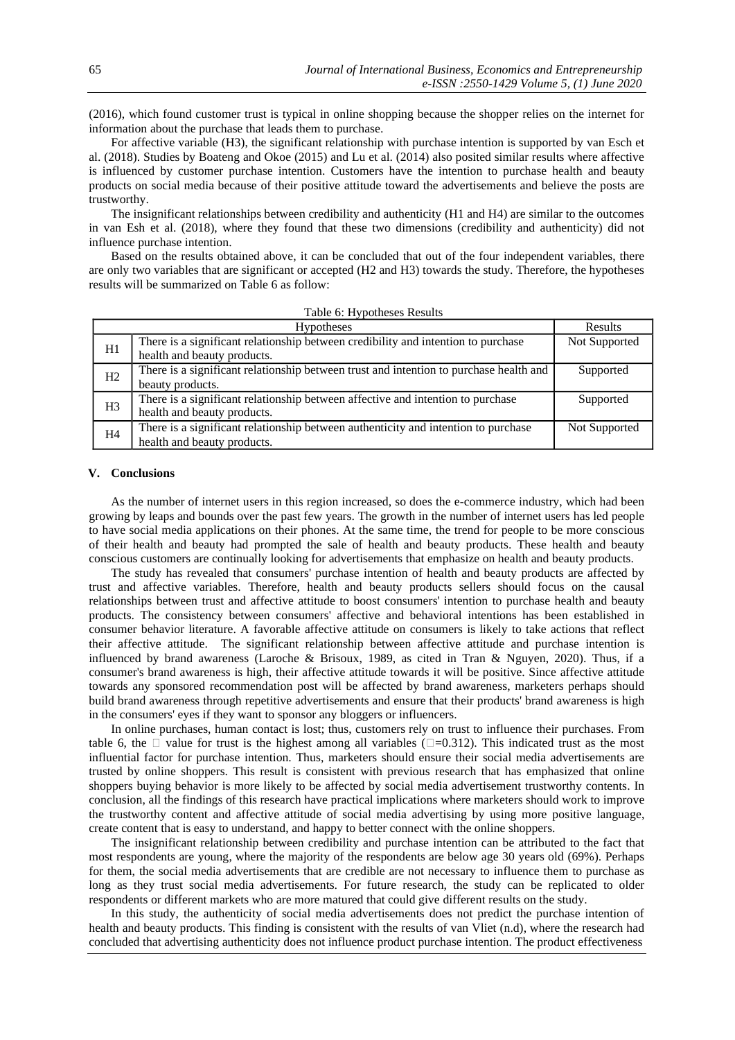(2016), which found customer trust is typical in online shopping because the shopper relies on the internet for information about the purchase that leads them to purchase.

For affective variable (H3), the significant relationship with purchase intention is supported by van Esch et al. (2018). Studies by Boateng and Okoe (2015) and Lu et al. (2014) also posited similar results where affective is influenced by customer purchase intention. Customers have the intention to purchase health and beauty products on social media because of their positive attitude toward the advertisements and believe the posts are trustworthy.

The insignificant relationships between credibility and authenticity (H1 and H4) are similar to the outcomes in van Esh et al. (2018), where they found that these two dimensions (credibility and authenticity) did not influence purchase intention.

Based on the results obtained above, it can be concluded that out of the four independent variables, there are only two variables that are significant or accepted (H2 and H3) towards the study. Therefore, the hypotheses results will be summarized on Table 6 as follow:

|                | <b>Hypotheses</b>                                                                                                 | Results       |
|----------------|-------------------------------------------------------------------------------------------------------------------|---------------|
| H1             | There is a significant relationship between credibility and intention to purchase<br>health and beauty products.  | Not Supported |
| H <sub>2</sub> | There is a significant relationship between trust and intention to purchase health and<br>beauty products.        | Supported     |
| H <sub>3</sub> | There is a significant relationship between affective and intention to purchase<br>health and beauty products.    | Supported     |
| H <sub>4</sub> | There is a significant relationship between authenticity and intention to purchase<br>health and beauty products. | Not Supported |

| Table 6: Hypotheses Results |
|-----------------------------|
|-----------------------------|

### **V. Conclusions**

As the number of internet users in this region increased, so does the e-commerce industry, which had been growing by leaps and bounds over the past few years. The growth in the number of internet users has led people to have social media applications on their phones. At the same time, the trend for people to be more conscious of their health and beauty had prompted the sale of health and beauty products. These health and beauty conscious customers are continually looking for advertisements that emphasize on health and beauty products.

The study has revealed that consumers' purchase intention of health and beauty products are affected by trust and affective variables. Therefore, health and beauty products sellers should focus on the causal relationships between trust and affective attitude to boost consumers' intention to purchase health and beauty products. The consistency between consumers' affective and behavioral intentions has been established in consumer behavior literature. A favorable affective attitude on consumers is likely to take actions that reflect their affective attitude. The significant relationship between affective attitude and purchase intention is influenced by brand awareness (Laroche & Brisoux, 1989, as cited in Tran & Nguyen, 2020). Thus, if a consumer's brand awareness is high, their affective attitude towards it will be positive. Since affective attitude towards any sponsored recommendation post will be affected by brand awareness, marketers perhaps should build brand awareness through repetitive advertisements and ensure that their products' brand awareness is high in the consumers' eyes if they want to sponsor any bloggers or influencers.

In online purchases, human contact is lost; thus, customers rely on trust to influence their purchases. From table 6, the  $\Box$  value for trust is the highest among all variables ( $\Box$ =0.312). This indicated trust as the most influential factor for purchase intention. Thus, marketers should ensure their social media advertisements are trusted by online shoppers. This result is consistent with previous research that has emphasized that online shoppers buying behavior is more likely to be affected by social media advertisement trustworthy contents. In conclusion, all the findings of this research have practical implications where marketers should work to improve the trustworthy content and affective attitude of social media advertising by using more positive language, create content that is easy to understand, and happy to better connect with the online shoppers.

The insignificant relationship between credibility and purchase intention can be attributed to the fact that most respondents are young, where the majority of the respondents are below age 30 years old (69%). Perhaps for them, the social media advertisements that are credible are not necessary to influence them to purchase as long as they trust social media advertisements. For future research, the study can be replicated to older respondents or different markets who are more matured that could give different results on the study.

In this study, the authenticity of social media advertisements does not predict the purchase intention of health and beauty products. This finding is consistent with the results of van Vliet (n.d), where the research had concluded that advertising authenticity does not influence product purchase intention. The product effectiveness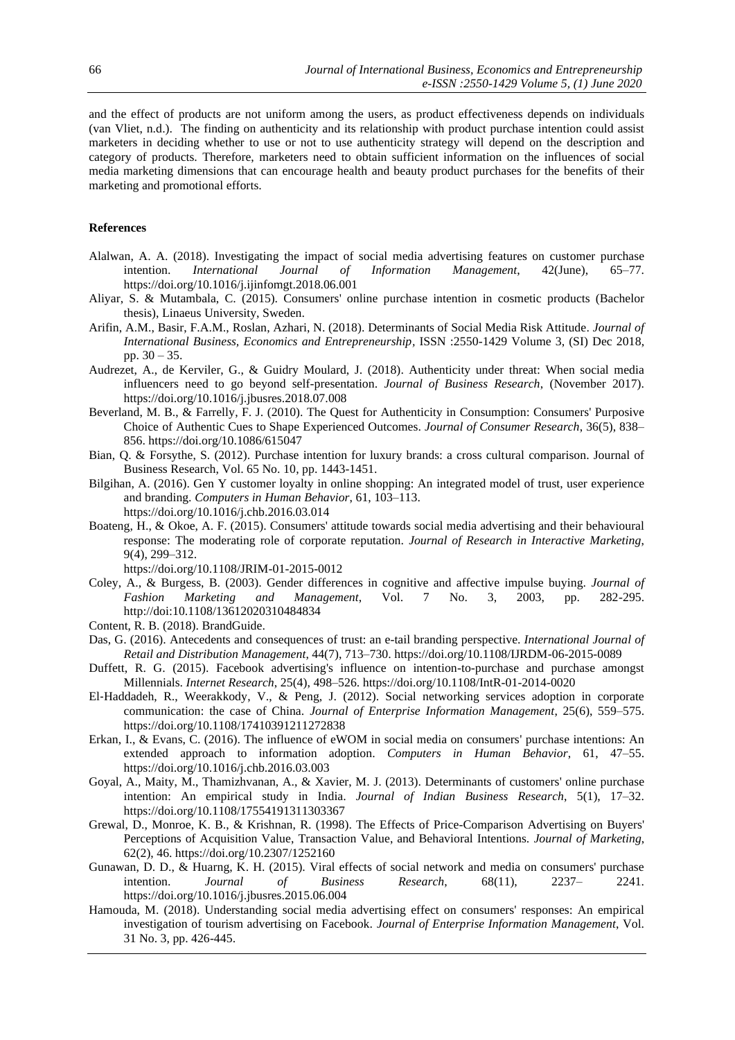and the effect of products are not uniform among the users, as product effectiveness depends on individuals (van Vliet, n.d.). The finding on authenticity and its relationship with product purchase intention could assist marketers in deciding whether to use or not to use authenticity strategy will depend on the description and category of products. Therefore, marketers need to obtain sufficient information on the influences of social media marketing dimensions that can encourage health and beauty product purchases for the benefits of their marketing and promotional efforts.

## **References**

- Alalwan, A. A. (2018). Investigating the impact of social media advertising features on customer purchase intention. *International Journal of Information Management*, 42(June), 65–77. <https://doi.org/10.1016/j.ijinfomgt.2018.06.001>
- Aliyar, S. & Mutambala, C. (2015). Consumers' online purchase intention in cosmetic products (Bachelor thesis), Linaeus University, Sweden.
- Arifin, A.M., Basir, F.A.M., Roslan, Azhari, N. (2018). Determinants of Social Media Risk Attitude. *Journal of International Business, Economics and Entrepreneurship,* ISSN :2550-1429 Volume 3, (SI) Dec 2018, pp. 30 – 35.
- Audrezet, A., de Kerviler, G., & Guidry Moulard, J. (2018). Authenticity under threat: When social media influencers need to go beyond self-presentation. *Journal of Business Research*, (November 2017). https://doi.org/10.1016/j.jbusres.2018.07.008
- Beverland, M. B., & Farrelly, F. J. (2010). The Quest for Authenticity in Consumption: Consumers' Purposive Choice of Authentic Cues to Shape Experienced Outcomes. *Journal of Consumer Research*, 36(5), 838– 856. https://doi.org/10.1086/615047
- Bian, Q. & Forsythe, S. (2012). Purchase intention for luxury brands: a cross cultural comparison. Journal of Business Research, Vol. 65 No. 10, pp. 1443-1451.
- Bilgihan, A. (2016). Gen Y customer loyalty in online shopping: An integrated model of trust, user experience and branding. *Computers in Human Behavior*, 61, 103–113. https://doi.org/10.1016/j.chb.2016.03.014
- Boateng, H., & Okoe, A. F. (2015). Consumers' attitude towards social media advertising and their behavioural response: The moderating role of corporate reputation. *Journal of Research in Interactive Marketing*, 9(4), 299–312.

https://doi.org/10.1108/JRIM-01-2015-0012

- Coley, A., & Burgess, B. (2003). Gender differences in cognitive and affective impulse buying. *Journal of Fashion Marketing and Management*, Vol. 7 No. 3, 2003, pp. 282-295. http://doi:10.1108/13612020310484834
- Content, R. B. (2018). BrandGuide.
- Das, G. (2016). Antecedents and consequences of trust: an e-tail branding perspective. *International Journal of Retail and Distribution Management*, 44(7), 713–730. https://doi.org/10.1108/IJRDM-06-2015-0089
- Duffett, R. G. (2015). Facebook advertising's influence on intention-to-purchase and purchase amongst Millennials. *Internet Research*, 25(4), 498–526. https://doi.org/10.1108/IntR-01-2014-0020
- El-Haddadeh, R., Weerakkody, V., & Peng, J. (2012). Social networking services adoption in corporate communication: the case of China. *Journal of Enterprise Information Management*, 25(6), 559–575. https://doi.org/10.1108/17410391211272838
- Erkan, I., & Evans, C. (2016). The influence of eWOM in social media on consumers' purchase intentions: An extended approach to information adoption. *Computers in Human Behavior*, 61, 47–55. https://doi.org/10.1016/j.chb.2016.03.003
- Goyal, A., Maity, M., Thamizhvanan, A., & Xavier, M. J. (2013). Determinants of customers' online purchase intention: An empirical study in India. *Journal of Indian Business Research*, 5(1), 17–32. https://doi.org/10.1108/17554191311303367
- Grewal, D., Monroe, K. B., & Krishnan, R. (1998). The Effects of Price-Comparison Advertising on Buyers' Perceptions of Acquisition Value, Transaction Value, and Behavioral Intentions. *Journal of Marketing*, 62(2), 46. https://doi.org/10.2307/1252160
- Gunawan, D. D., & Huarng, K. H. (2015). Viral effects of social network and media on consumers' purchase intention. *Journal of Business Research*, 68(11), 2237– 2241. https://doi.org/10.1016/j.jbusres.2015.06.004
- Hamouda, M. (2018). Understanding social media advertising effect on consumers' responses: An empirical investigation of tourism advertising on Facebook. *Journal of Enterprise Information Management*, Vol. 31 No. 3, pp. 426-445.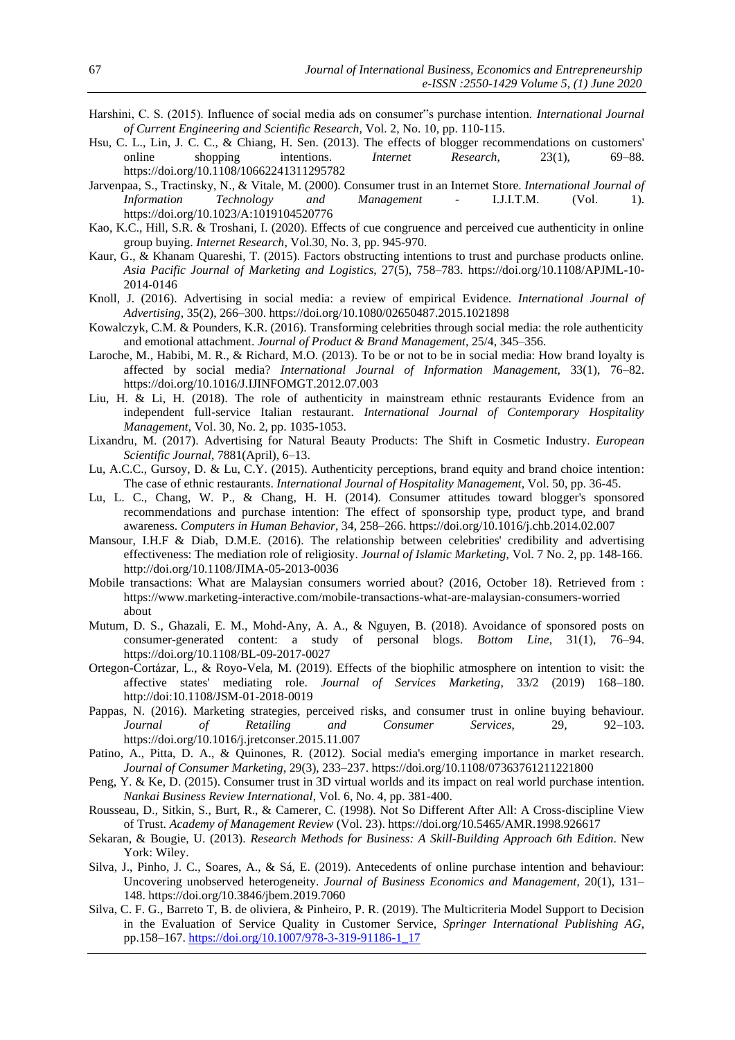- Harshini, C. S. (2015). Influence of social media ads on consumer"s purchase intention. *International Journal of Current Engineering and Scientific Research,* Vol. 2, No. 10, pp. 110-115.
- Hsu, C. L., Lin, J. C. C., & Chiang, H. Sen. (2013). The effects of blogger recommendations on customers' online shopping intentions. *Internet* Research, 23(1), 69–88. online shopping intentions. *Internet Research*, 23(1), 69–88. https://doi.org/10.1108/10662241311295782
- Jarvenpaa, S., Tractinsky, N., & Vitale, M. (2000). Consumer trust in an Internet Store. *International Journal of Information Technology and Management* - I.J.I.T.M. (Vol. 1). https://doi.org/10.1023/A:1019104520776
- Kao, K.C., Hill, S.R. & Troshani, I. (2020). Effects of cue congruence and perceived cue authenticity in online group buying. *Internet Research*, Vol.30, No. 3, pp. 945-970.
- Kaur, G., & Khanam Quareshi, T. (2015). Factors obstructing intentions to trust and purchase products online. *Asia Pacific Journal of Marketing and Logistics*, 27(5), 758–783. https://doi.org/10.1108/APJML-10- 2014-0146
- Knoll, J. (2016). Advertising in social media: a review of empirical Evidence. *International Journal of Advertising*, 35(2), 266–300. https://doi.org/10.1080/02650487.2015.1021898
- Kowalczyk, C.M. & Pounders, K.R. (2016). Transforming celebrities through social media: the role authenticity and emotional attachment. *Journal of Product & Brand Management,* 25/4, 345–356.
- Laroche, M., Habibi, M. R., & Richard, M.O. (2013). To be or not to be in social media: How brand loyalty is affected by social media? *International Journal of Information Management*, 33(1), 76–82. https://doi.org/10.1016/J.IJINFOMGT.2012.07.003
- Liu, H. & Li, H. (2018). The role of authenticity in mainstream ethnic restaurants Evidence from an independent full-service Italian restaurant. *International Journal of Contemporary Hospitality Management*, Vol. 30, No. 2, pp. 1035-1053.
- Lixandru, M. (2017). Advertising for Natural Beauty Products: The Shift in Cosmetic Industry. *European Scientific Journal*, 7881(April), 6–13.
- Lu, A.C.C., Gursoy, D. & Lu, C.Y. (2015). Authenticity perceptions, brand equity and brand choice intention: The case of ethnic restaurants. *International Journal of Hospitality Management*, Vol. 50, pp. 36-45.
- Lu, L. C., Chang, W. P., & Chang, H. H. (2014). Consumer attitudes toward blogger's sponsored recommendations and purchase intention: The effect of sponsorship type, product type, and brand awareness. *Computers in Human Behavior*, 34, 258–266. https://doi.org/10.1016/j.chb.2014.02.007
- Mansour, I.H.F & Diab, D.M.E. (2016). The relationship between celebrities' credibility and advertising effectiveness: The mediation role of religiosity. *Journal of Islamic Marketing,* Vol. 7 No. 2, pp. 148-166. <http://doi.org/10.1108/JIMA-05-2013-0036>
- Mobile transactions: What are Malaysian consumers worried about? (2016, October 18). Retrieved from : <https://www.marketing-interactive.com/mobile-transactions-what-are-malaysian-consumers-worried> about
- Mutum, D. S., Ghazali, E. M., Mohd-Any, A. A., & Nguyen, B. (2018). Avoidance of sponsored posts on consumer-generated content: a study of personal blogs. *Bottom Line*, 31(1), 76–94. https://doi.org/10.1108/BL-09-2017-0027
- Ortegon-Cortázar, L., & Royo-Vela, M. (2019). Effects of the biophilic atmosphere on intention to visit: the affective states' mediating role. *Journal of Services Marketing*, 33/2 (2019) 168–180. http://doi:10.1108/JSM-01-2018-0019
- Pappas, N. (2016). Marketing strategies, perceived risks, and consumer trust in online buying behaviour. *Journal of Retailing and Consumer Services*, 29, 92–103. https://doi.org/10.1016/j.jretconser.2015.11.007
- Patino, A., Pitta, D. A., & Quinones, R. (2012). Social media's emerging importance in market research. *Journal of Consumer Marketing*, 29(3), 233–237. https://doi.org/10.1108/07363761211221800
- Peng, Y. & Ke, D. (2015). Consumer trust in 3D virtual worlds and its impact on real world purchase intention. *Nankai Business Review International*, Vol. 6, No. 4, pp. 381-400.
- Rousseau, D., Sitkin, S., Burt, R., & Camerer, C. (1998). Not So Different After All: A Cross-discipline View of Trust. *Academy of Management Review* (Vol. 23). https://doi.org/10.5465/AMR.1998.926617
- Sekaran, & Bougie, U. (2013). *Research Methods for Business: A Skill-Building Approach 6th Edition*. New York: Wiley.
- Silva, J., Pinho, J. C., Soares, A., & Sá, E. (2019). Antecedents of online purchase intention and behaviour: Uncovering unobserved heterogeneity. *Journal of Business Economics and Management*, 20(1), 131– 148. https://doi.org/10.3846/jbem.2019.7060
- Silva, C. F. G., Barreto T, B. de oliviera, & Pinheiro, P. R. (2019). The Multicriteria Model Support to Decision in the Evaluation of Service Quality in Customer Service, *Springer International Publishing AG*, pp.158–167. [https://doi.org/10.1007/978-3-319-91186-1\\_17](https://doi.org/10.1007/978-3-319-91186-1_17)